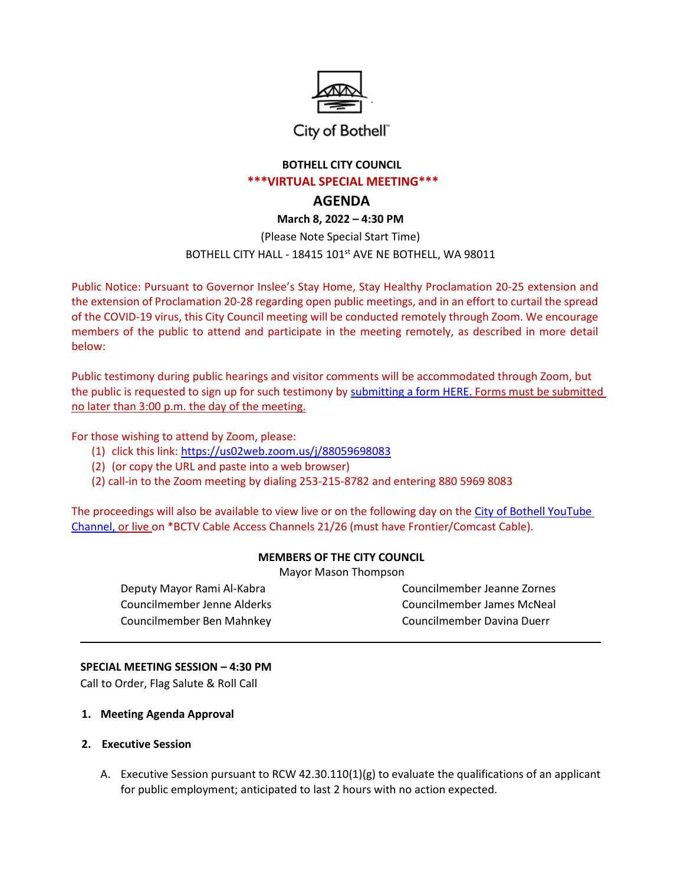

### City of Bothell"

### **BOTHELL CITY COUNCIL \*\*\*VIRTUAL SPECIAL MEETING\*\*\***

### **AGENDA**

**March 8, 2022 – 4:30 PM**

(Please Note Special Start Time) BOTHELL CITY HALL - 18415 101<sup>st</sup> AVE NE BOTHELL, WA 98011

Public Notice: Pursuant to Governor Inslee's Stay Home, Stay Healthy Proclamation 20-25 extension and the extension of Proclamation 20-28 regarding open public meetings, and in an effort to curtail the spread of the COVID-19 virus, this City Council meeting will be conducted remotely through Zoom. We encourage members of the public to attend and participate in the meeting remotely, as described in more detail below:

Public testimony during public hearings and visitor comments will be accommodated through Zoom, but the public is requested to sign up for such testimony by [submitting a form HERE.](http://www.ci.bothell.wa.us/FormCenter/City-Clerk-15/Public-Comment-SignUp-Verbal-or-Written-209) Forms must be submitted no later than 3:00 p.m. the day of the meeting.

For those wishing to attend by Zoom, please:

- (1) click this link:<https://us02web.zoom.us/j/88059698083>
- (2) (or copy the URL and paste into a web browser)
- (2) call-in to the Zoom meeting by dialing 253-215-8782 and entering 880 5969 8083

The proceedings will also be available to view live or on the following day on the City of Bothell [YouTube](https://www.youtube.com/user/CityofBothell/featured) [Channel,](https://www.youtube.com/user/CityofBothell/featured) or live on \*BCTV Cable Access Channels 21/26 (must have Frontier/Comcast Cable).

#### **MEMBERS OF THE CITY COUNCIL**

Mayor Mason Thompson

| Deputy Mayor Rami Al-Kabra  | Councilmember Jeanne Zornes |
|-----------------------------|-----------------------------|
| Councilmember Jenne Alderks | Councilmember James McNeal  |
| Councilmember Ben Mahnkey   | Councilmember Davina Duerr  |

### **SPECIAL MEETING SESSION – 4:30 PM**

Call to Order, Flag Salute & Roll Call

- **1. Meeting Agenda Approval**
- **2. Executive Session**
	- A. Executive Session pursuant to RCW 42.30.110(1)(g) to evaluate the qualifications of an applicant for public employment; anticipated to last 2 hours with no action expected.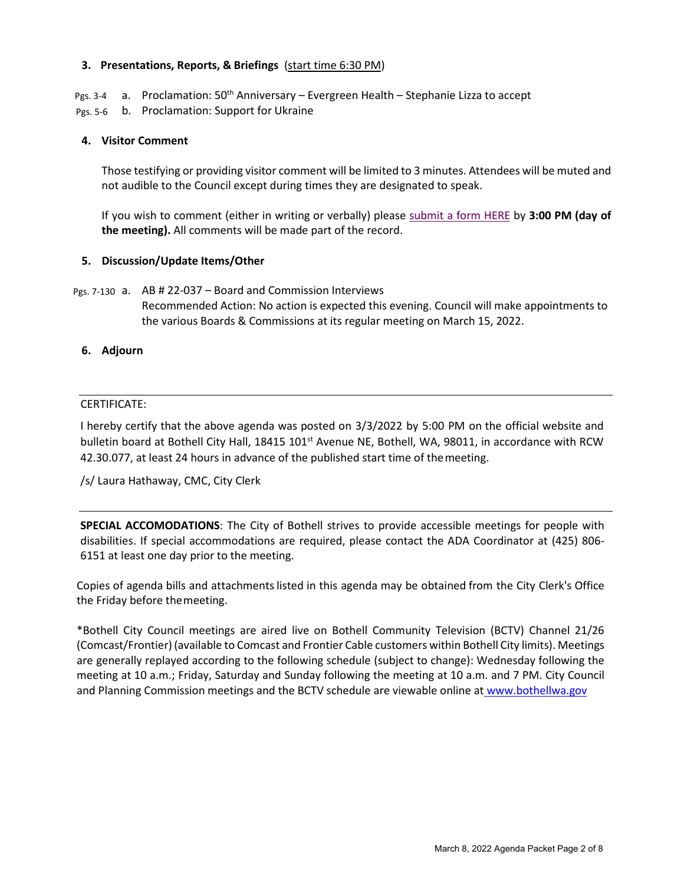#### **3. Presentations, Reports, & Briefings** (start time 6:30 PM)

Pgs. 3-4 a. Proclamation: 50<sup>th</sup> Anniversary – Evergreen [Health – Stephanie Lizza to accept](#page-2-0) Pgs. 5-6 b. [Proclamation: Support for Ukraine](#page-4-0)

#### **4. Visitor Comment**

Those testifying or providing visitor comment will be limited to 3 minutes. Attendees will be muted and not audible to the Council except during times they are designated to speak.

If you wish to comment (either in writing or verbally) please [submit a form HERE](http://www.ci.bothell.wa.us/FormCenter/City-Clerk-15/Remote-Public-Comment-SignUp-209) by **3:00 PM (day of the meeting).** All comments will be made part of the record.

#### **5. Discussion/Update Items/Other**

Pgs. 7-130 a. AB # 22-037 - Board and Commission Interviews [Recommended Action: No action is expected this evening. Council will make appointmen](#page-6-0)ts to the various Boards & Commissions at its regular meeting on March 15, 2022.

#### **6. Adjourn**

#### CERTIFICATE:

I hereby certify that the above agenda was posted on 3/3/2022 by 5:00 PM on the official website and bulletin board at Bothell City Hall, 18415 101<sup>st</sup> Avenue NE, Bothell, WA, 98011, in accordance with RCW 42.30.077, at least 24 hours in advance of the published start time of themeeting.

/s/ Laura Hathaway, CMC, City Clerk

**SPECIAL ACCOMODATIONS**: The City of Bothell strives to provide accessible meetings for people with disabilities. If special accommodations are required, please contact the ADA Coordinator at (425) 806- 6151 at least one day prior to the meeting.

Copies of agenda bills and attachments listed in this agenda may be obtained from the City Clerk's Office the Friday before themeeting.

\*Bothell City Council meetings are aired live on Bothell Community Television (BCTV) Channel 21/26 (Comcast/Frontier) (available to Comcast and Frontier Cable customers within Bothell City limits). Meetings are generally replayed according to the following schedule (subject to change): Wednesday following the meeting at 10 a.m.; Friday, Saturday and Sunday following the meeting at 10 a.m. and 7 PM. City Council and Planning Commission meetings and the BCTV schedule are viewable online at [www.bothellwa.gov](http://www.bothellwa.gov/)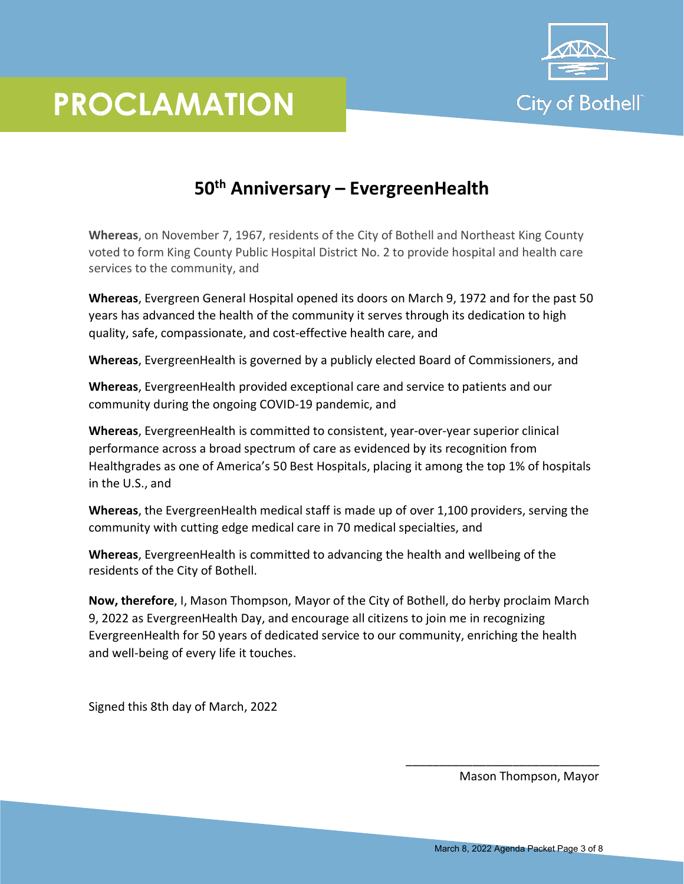

# <span id="page-2-0"></span>**PROCLAMATION**

## **50th Anniversary – EvergreenHealth**

**Whereas**, on November 7, 1967, residents of the City of Bothell and Northeast King County voted to form King County Public Hospital District No. 2 to provide hospital and health care services to the community, and

**Whereas**, Evergreen General Hospital opened its doors on March 9, 1972 and for the past 50 years has advanced the health of the community it serves through its dedication to high quality, safe, compassionate, and cost-effective health care, and

**Whereas**, EvergreenHealth is governed by a publicly elected Board of Commissioners, and

**Whereas**, EvergreenHealth provided exceptional care and service to patients and our community during the ongoing COVID-19 pandemic, and

**Whereas**, EvergreenHealth is committed to consistent, year-over-year superior clinical performance across a broad spectrum of care as evidenced by its recognition from Healthgrades as one of America's 50 Best Hospitals, placing it among the top 1% of hospitals in the U.S., and

**Whereas**, the EvergreenHealth medical staff is made up of over 1,100 providers, serving the community with cutting edge medical care in 70 medical specialties, and

**Whereas**, EvergreenHealth is committed to advancing the health and wellbeing of the residents of the City of Bothell.

**Now, therefore**, I, Mason Thompson, Mayor of the City of Bothell, do herby proclaim March 9, 2022 as EvergreenHealth Day, and encourage all citizens to join me in recognizing EvergreenHealth for 50 years of dedicated service to our community, enriching the health and well-being of every life it touches.

Signed this 8th day of March, 2022

Mason Thompson, Mayor

\_\_\_\_\_\_\_\_\_\_\_\_\_\_\_\_\_\_\_\_\_\_\_\_\_\_\_\_\_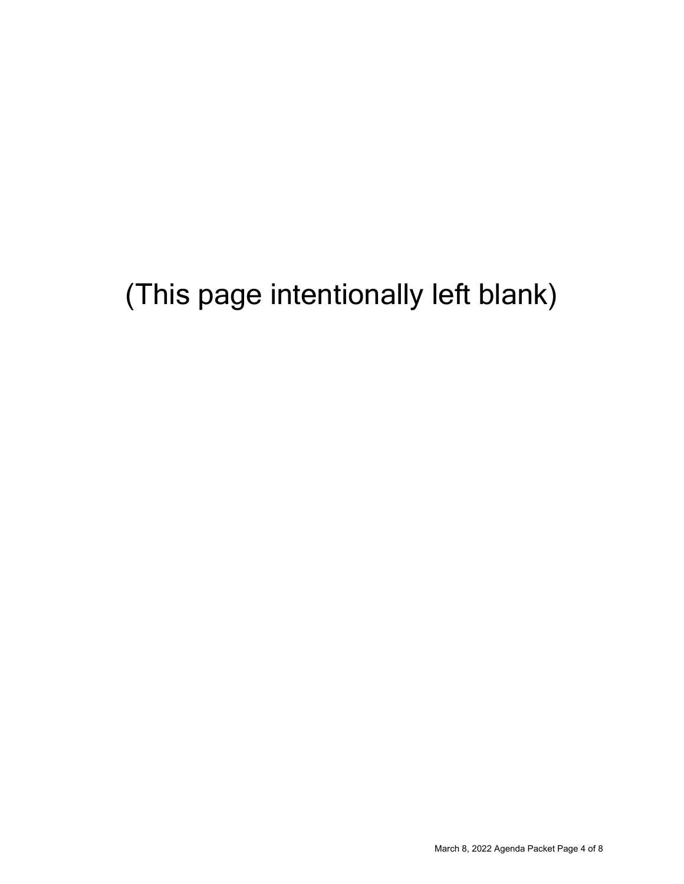# (This page intentionally left blank)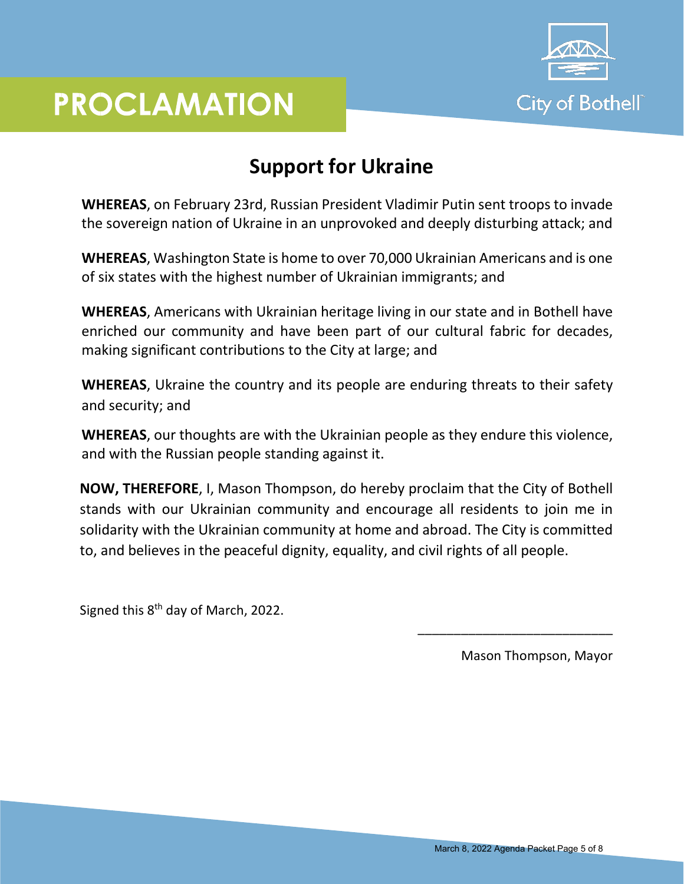

# <span id="page-4-0"></span>**PROCLAMATION**

## **Support for Ukraine**

**WHEREAS**, on February 23rd, Russian President Vladimir Putin sent troops to invade the sovereign nation of Ukraine in an unprovoked and deeply disturbing attack; and

**WHEREAS**, Washington State is home to over 70,000 Ukrainian Americans and is one of six states with the highest number of Ukrainian immigrants; and

**WHEREAS**, Americans with Ukrainian heritage living in our state and in Bothell have enriched our community and have been part of our cultural fabric for decades, making significant contributions to the City at large; and

**WHEREAS**, Ukraine the country and its people are enduring threats to their safety and security; and

**WHEREAS**, our thoughts are with the Ukrainian people as they endure this violence, and with the Russian people standing against it.

**NOW, THEREFORE**, I, Mason Thompson, do hereby proclaim that the City of Bothell stands with our Ukrainian community and encourage all residents to join me in solidarity with the Ukrainian community at home and abroad. The City is committed to, and believes in the peaceful dignity, equality, and civil rights of all people.

Signed this 8<sup>th</sup> day of March, 2022.

Mason Thompson, Mayor

\_\_\_\_\_\_\_\_\_\_\_\_\_\_\_\_\_\_\_\_\_\_\_\_\_\_\_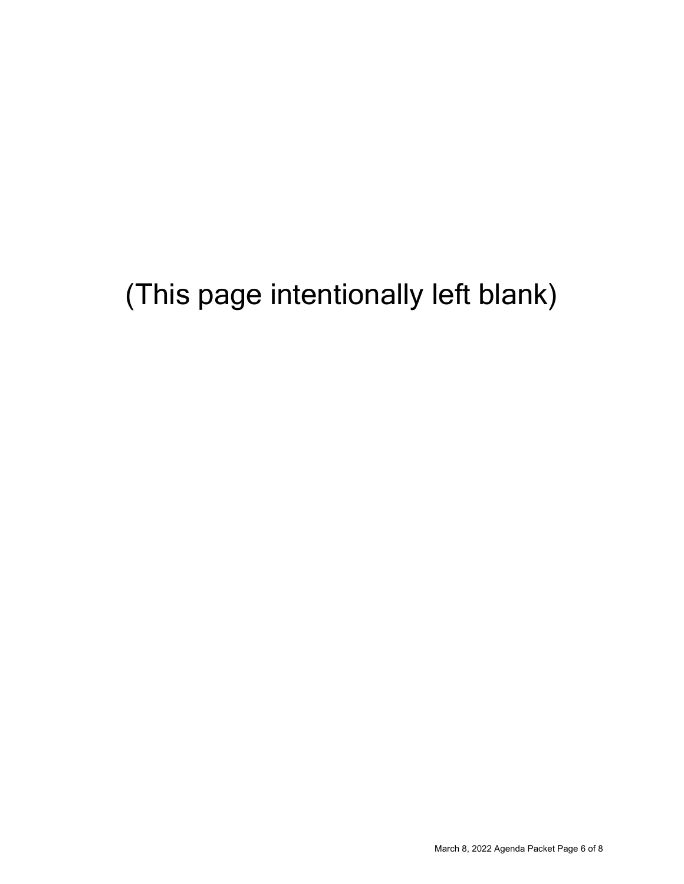# (This page intentionally left blank)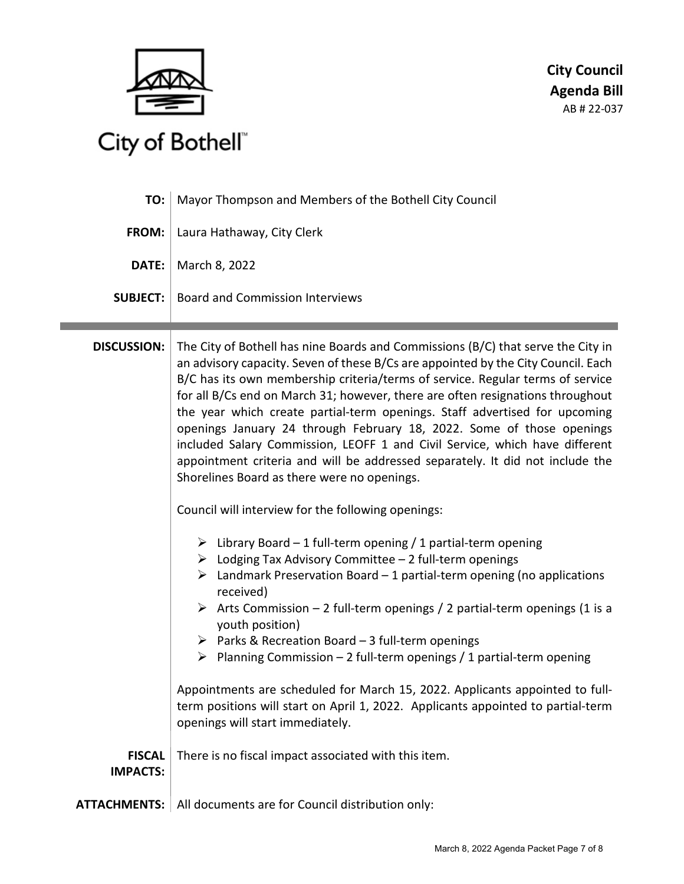<span id="page-6-0"></span>

| TO:                              | Mayor Thompson and Members of the Bothell City Council                                                                                                                                                                                                                                                                                                                                                                                                                                                                                                                                                                                                                                                                                                                                                                                                                                                                                                                                                                                                                                                                                                                                                                                                                                                                                                                                                                                                                                                                      |
|----------------------------------|-----------------------------------------------------------------------------------------------------------------------------------------------------------------------------------------------------------------------------------------------------------------------------------------------------------------------------------------------------------------------------------------------------------------------------------------------------------------------------------------------------------------------------------------------------------------------------------------------------------------------------------------------------------------------------------------------------------------------------------------------------------------------------------------------------------------------------------------------------------------------------------------------------------------------------------------------------------------------------------------------------------------------------------------------------------------------------------------------------------------------------------------------------------------------------------------------------------------------------------------------------------------------------------------------------------------------------------------------------------------------------------------------------------------------------------------------------------------------------------------------------------------------------|
| <b>FROM:</b>                     | Laura Hathaway, City Clerk                                                                                                                                                                                                                                                                                                                                                                                                                                                                                                                                                                                                                                                                                                                                                                                                                                                                                                                                                                                                                                                                                                                                                                                                                                                                                                                                                                                                                                                                                                  |
| DATE:                            | March 8, 2022                                                                                                                                                                                                                                                                                                                                                                                                                                                                                                                                                                                                                                                                                                                                                                                                                                                                                                                                                                                                                                                                                                                                                                                                                                                                                                                                                                                                                                                                                                               |
| <b>SUBJECT:</b>                  | <b>Board and Commission Interviews</b>                                                                                                                                                                                                                                                                                                                                                                                                                                                                                                                                                                                                                                                                                                                                                                                                                                                                                                                                                                                                                                                                                                                                                                                                                                                                                                                                                                                                                                                                                      |
| <b>DISCUSSION:</b>               | The City of Bothell has nine Boards and Commissions (B/C) that serve the City in<br>an advisory capacity. Seven of these B/Cs are appointed by the City Council. Each<br>B/C has its own membership criteria/terms of service. Regular terms of service<br>for all B/Cs end on March 31; however, there are often resignations throughout<br>the year which create partial-term openings. Staff advertised for upcoming<br>openings January 24 through February 18, 2022. Some of those openings<br>included Salary Commission, LEOFF 1 and Civil Service, which have different<br>appointment criteria and will be addressed separately. It did not include the<br>Shorelines Board as there were no openings.<br>Council will interview for the following openings:<br>$\triangleright$ Library Board - 1 full-term opening / 1 partial-term opening<br>$\triangleright$ Lodging Tax Advisory Committee - 2 full-term openings<br>$\triangleright$ Landmark Preservation Board – 1 partial-term opening (no applications<br>received)<br>$\triangleright$ Arts Commission – 2 full-term openings / 2 partial-term openings (1 is a<br>youth position)<br>$\triangleright$ Parks & Recreation Board - 3 full-term openings<br>$\triangleright$ Planning Commission – 2 full-term openings / 1 partial-term opening<br>Appointments are scheduled for March 15, 2022. Applicants appointed to full-<br>term positions will start on April 1, 2022. Applicants appointed to partial-term<br>openings will start immediately. |
| <b>FISCAL</b><br><b>IMPACTS:</b> | There is no fiscal impact associated with this item.                                                                                                                                                                                                                                                                                                                                                                                                                                                                                                                                                                                                                                                                                                                                                                                                                                                                                                                                                                                                                                                                                                                                                                                                                                                                                                                                                                                                                                                                        |
| <b>ATTACHMENTS:</b>              | All documents are for Council distribution only:                                                                                                                                                                                                                                                                                                                                                                                                                                                                                                                                                                                                                                                                                                                                                                                                                                                                                                                                                                                                                                                                                                                                                                                                                                                                                                                                                                                                                                                                            |